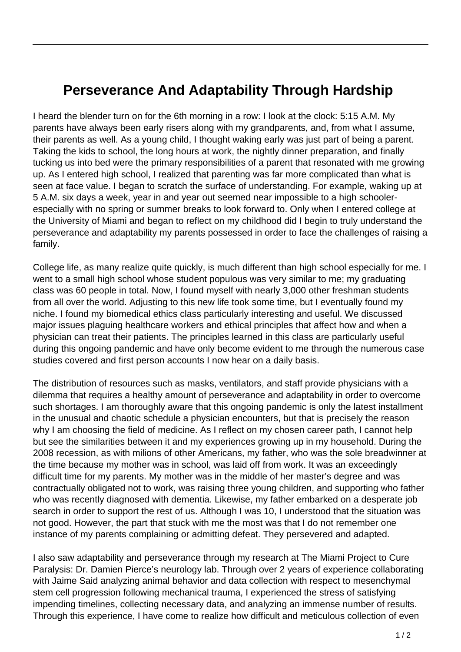## **Perseverance And Adaptability Through Hardship**

I heard the blender turn on for the 6th morning in a row: I look at the clock: 5:15 A.M. My parents have always been early risers along with my grandparents, and, from what I assume, their parents as well. As a young child, I thought waking early was just part of being a parent. Taking the kids to school, the long hours at work, the nightly dinner preparation, and finally tucking us into bed were the primary responsibilities of a parent that resonated with me growing up. As I entered high school, I realized that parenting was far more complicated than what is seen at face value. I began to scratch the surface of understanding. For example, waking up at 5 A.M. six days a week, year in and year out seemed near impossible to a high schoolerespecially with no spring or summer breaks to look forward to. Only when I entered college at the University of Miami and began to reflect on my childhood did I begin to truly understand the perseverance and adaptability my parents possessed in order to face the challenges of raising a family.

College life, as many realize quite quickly, is much different than high school especially for me. I went to a small high school whose student populous was very similar to me; my graduating class was 60 people in total. Now, I found myself with nearly 3,000 other freshman students from all over the world. Adjusting to this new life took some time, but I eventually found my niche. I found my biomedical ethics class particularly interesting and useful. We discussed major issues plaguing healthcare workers and ethical principles that affect how and when a physician can treat their patients. The principles learned in this class are particularly useful during this ongoing pandemic and have only become evident to me through the numerous case studies covered and first person accounts I now hear on a daily basis.

The distribution of resources such as masks, ventilators, and staff provide physicians with a dilemma that requires a healthy amount of perseverance and adaptability in order to overcome such shortages. I am thoroughly aware that this ongoing pandemic is only the latest installment in the unusual and chaotic schedule a physician encounters, but that is precisely the reason why I am choosing the field of medicine. As I reflect on my chosen career path, I cannot help but see the similarities between it and my experiences growing up in my household. During the 2008 recession, as with milions of other Americans, my father, who was the sole breadwinner at the time because my mother was in school, was laid off from work. It was an exceedingly difficult time for my parents. My mother was in the middle of her master's degree and was contractually obligated not to work, was raising three young children, and supporting who father who was recently diagnosed with dementia. Likewise, my father embarked on a desperate job search in order to support the rest of us. Although I was 10, I understood that the situation was not good. However, the part that stuck with me the most was that I do not remember one instance of my parents complaining or admitting defeat. They persevered and adapted.

I also saw adaptability and perseverance through my research at The Miami Project to Cure Paralysis: Dr. Damien Pierce's neurology lab. Through over 2 years of experience collaborating with Jaime Said analyzing animal behavior and data collection with respect to mesenchymal stem cell progression following mechanical trauma, I experienced the stress of satisfying impending timelines, collecting necessary data, and analyzing an immense number of results. Through this experience, I have come to realize how difficult and meticulous collection of even